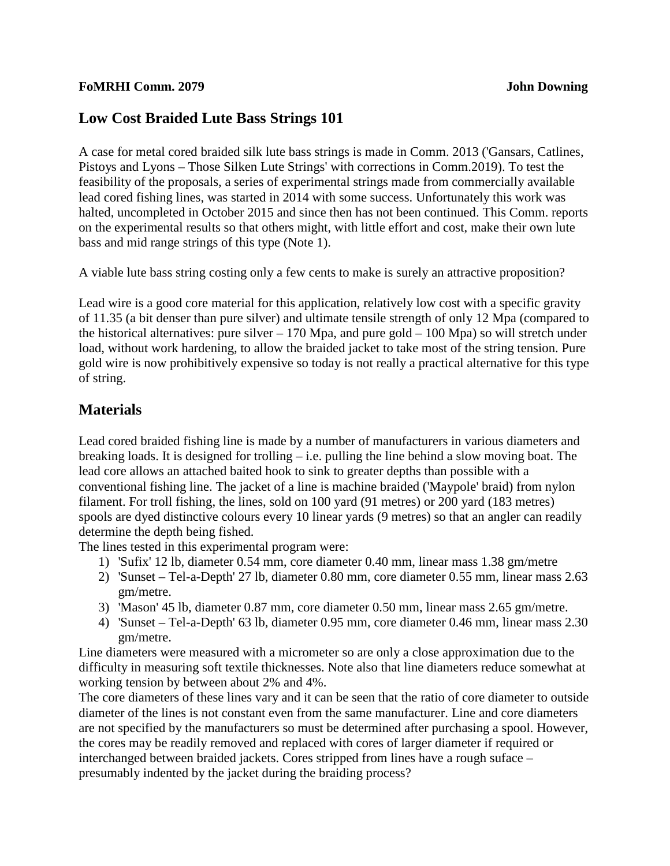## **Low Cost Braided Lute Bass Strings 101**

A case for metal cored braided silk lute bass strings is made in Comm. 2013 ('Gansars, Catlines, Pistoys and Lyons – Those Silken Lute Strings' with corrections in Comm.2019). To test the feasibility of the proposals, a series of experimental strings made from commercially available lead cored fishing lines, was started in 2014 with some success. Unfortunately this work was halted, uncompleted in October 2015 and since then has not been continued. This Comm. reports on the experimental results so that others might, with little effort and cost, make their own lute bass and mid range strings of this type (Note 1).

A viable lute bass string costing only a few cents to make is surely an attractive proposition?

Lead wire is a good core material for this application, relatively low cost with a specific gravity of 11.35 (a bit denser than pure silver) and ultimate tensile strength of only 12 Mpa (compared to the historical alternatives: pure silver  $-170$  Mpa, and pure gold  $-100$  Mpa) so will stretch under load, without work hardening, to allow the braided jacket to take most of the string tension. Pure gold wire is now prohibitively expensive so today is not really a practical alternative for this type of string.

## **Materials**

Lead cored braided fishing line is made by a number of manufacturers in various diameters and breaking loads. It is designed for trolling – i.e. pulling the line behind a slow moving boat. The lead core allows an attached baited hook to sink to greater depths than possible with a conventional fishing line. The jacket of a line is machine braided ('Maypole' braid) from nylon filament. For troll fishing, the lines, sold on 100 yard (91 metres) or 200 yard (183 metres) spools are dyed distinctive colours every 10 linear yards (9 metres) so that an angler can readily determine the depth being fished.

The lines tested in this experimental program were:

- 1) 'Sufix' 12 lb, diameter 0.54 mm, core diameter 0.40 mm, linear mass 1.38 gm/metre
- 2) 'Sunset Tel-a-Depth' 27 lb, diameter 0.80 mm, core diameter 0.55 mm, linear mass 2.63 gm/metre.
- 3) 'Mason' 45 lb, diameter 0.87 mm, core diameter 0.50 mm, linear mass 2.65 gm/metre.
- 4) 'Sunset Tel-a-Depth' 63 lb, diameter 0.95 mm, core diameter 0.46 mm, linear mass 2.30 gm/metre.

Line diameters were measured with a micrometer so are only a close approximation due to the difficulty in measuring soft textile thicknesses. Note also that line diameters reduce somewhat at working tension by between about 2% and 4%.

The core diameters of these lines vary and it can be seen that the ratio of core diameter to outside diameter of the lines is not constant even from the same manufacturer. Line and core diameters are not specified by the manufacturers so must be determined after purchasing a spool. However, the cores may be readily removed and replaced with cores of larger diameter if required or interchanged between braided jackets. Cores stripped from lines have a rough suface – presumably indented by the jacket during the braiding process?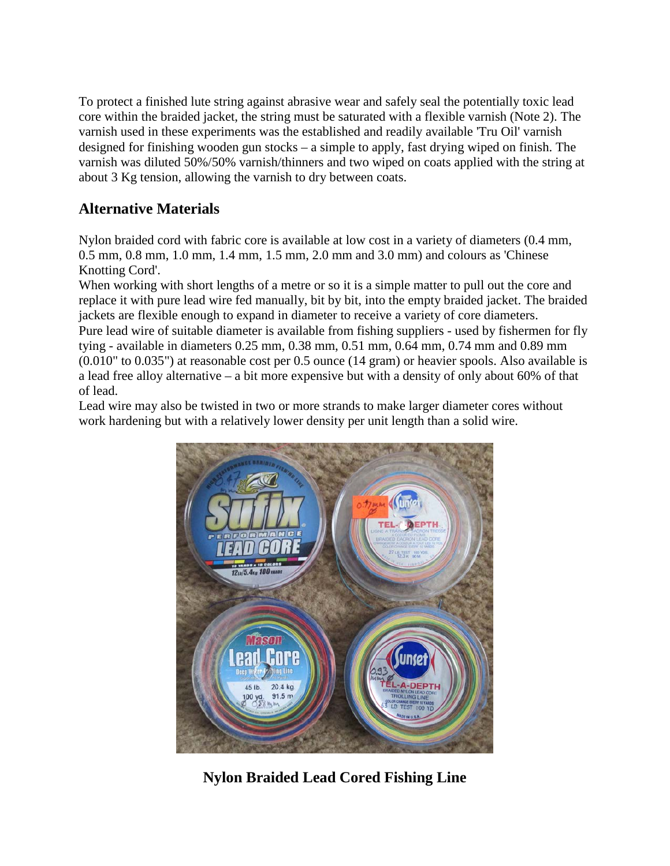To protect a finished lute string against abrasive wear and safely seal the potentially toxic lead core within the braided jacket, the string must be saturated with a flexible varnish (Note 2). The varnish used in these experiments was the established and readily available 'Tru Oil' varnish designed for finishing wooden gun stocks – a simple to apply, fast drying wiped on finish. The varnish was diluted 50%/50% varnish/thinners and two wiped on coats applied with the string at about 3 Kg tension, allowing the varnish to dry between coats.

# **Alternative Materials**

Nylon braided cord with fabric core is available at low cost in a variety of diameters (0.4 mm, 0.5 mm, 0.8 mm, 1.0 mm, 1.4 mm, 1.5 mm, 2.0 mm and 3.0 mm) and colours as 'Chinese Knotting Cord'.

When working with short lengths of a metre or so it is a simple matter to pull out the core and replace it with pure lead wire fed manually, bit by bit, into the empty braided jacket. The braided jackets are flexible enough to expand in diameter to receive a variety of core diameters. Pure lead wire of suitable diameter is available from fishing suppliers - used by fishermen for fly tying - available in diameters 0.25 mm, 0.38 mm, 0.51 mm, 0.64 mm, 0.74 mm and 0.89 mm (0.010" to 0.035") at reasonable cost per 0.5 ounce (14 gram) or heavier spools. Also available is a lead free alloy alternative – a bit more expensive but with a density of only about 60% of that of lead.

Lead wire may also be twisted in two or more strands to make larger diameter cores without work hardening but with a relatively lower density per unit length than a solid wire.



**Nylon Braided Lead Cored Fishing Line**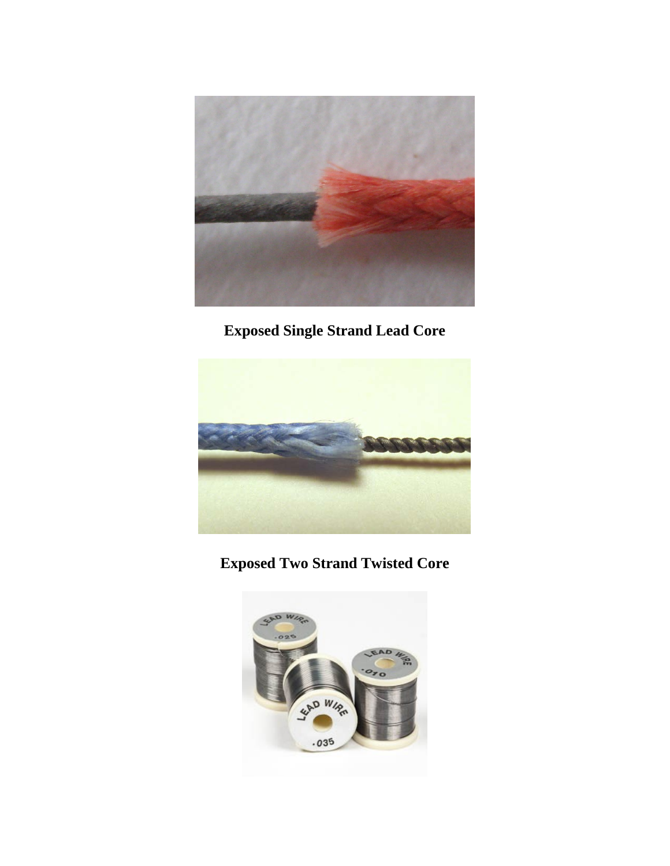

**Exposed Single Strand Lead Core** 



**Exposed Two Strand Twisted Core**

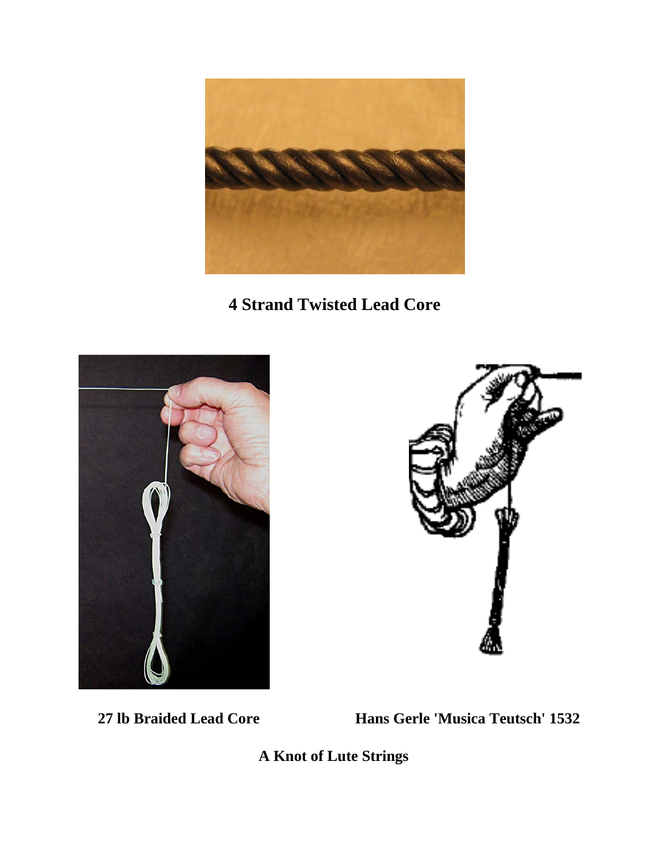

**4 Strand Twisted Lead Core**





 **27 lb Braided Lead Core Hans Gerle 'Musica Teutsch' 1532**

 **A Knot of Lute Strings**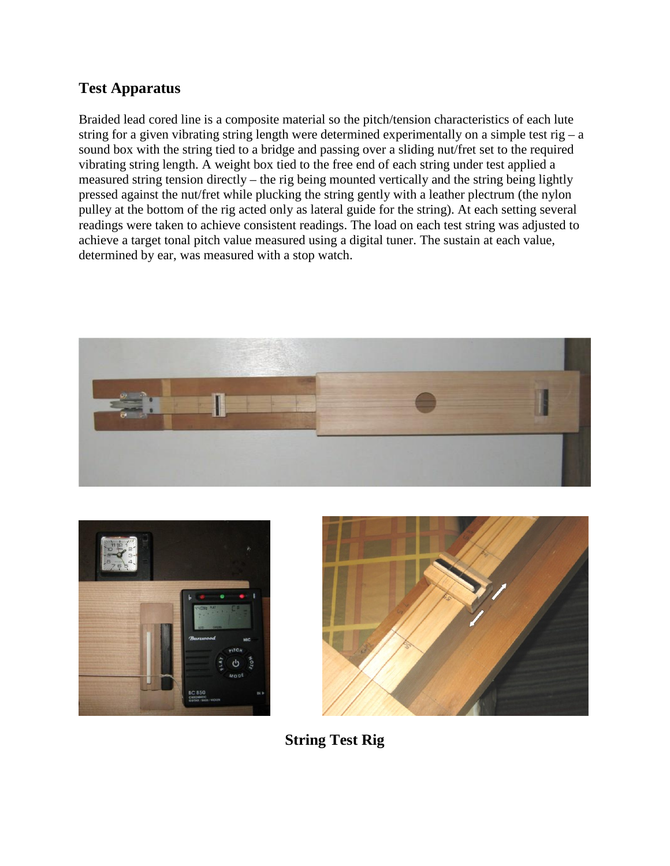## **Test Apparatus**

Braided lead cored line is a composite material so the pitch/tension characteristics of each lute string for a given vibrating string length were determined experimentally on a simple test rig – a sound box with the string tied to a bridge and passing over a sliding nut/fret set to the required vibrating string length. A weight box tied to the free end of each string under test applied a measured string tension directly – the rig being mounted vertically and the string being lightly pressed against the nut/fret while plucking the string gently with a leather plectrum (the nylon pulley at the bottom of the rig acted only as lateral guide for the string). At each setting several readings were taken to achieve consistent readings. The load on each test string was adjusted to achieve a target tonal pitch value measured using a digital tuner. The sustain at each value, determined by ear, was measured with a stop watch.







**String Test Rig**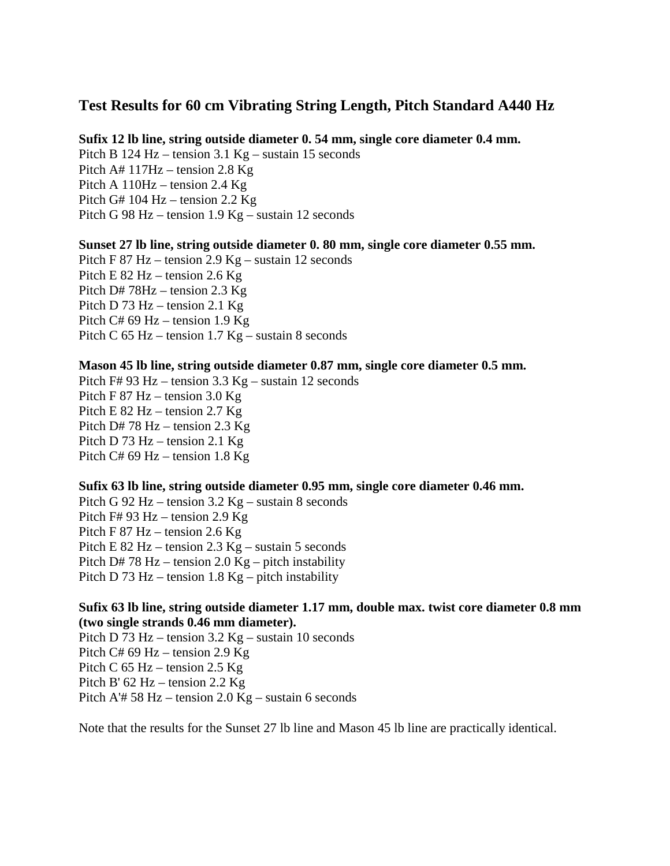## **Test Results for 60 cm Vibrating String Length, Pitch Standard A440 Hz**

#### **Sufix 12 lb line, string outside diameter 0. 54 mm, single core diameter 0.4 mm.**

Pitch B 124 Hz – tension 3.1 Kg – sustain 15 seconds Pitch A# 117Hz – tension 2.8 Kg Pitch A 110Hz – tension 2.4 Kg Pitch G# 104 Hz – tension 2.2 Kg Pitch G 98 Hz – tension 1.9 Kg – sustain 12 seconds

#### **Sunset 27 lb line, string outside diameter 0. 80 mm, single core diameter 0.55 mm.**

Pitch F 87 Hz – tension 2.9 Kg – sustain 12 seconds Pitch E 82 Hz – tension 2.6 Kg Pitch D# 78Hz – tension 2.3 Kg Pitch D 73 Hz – tension 2.1 Kg Pitch C# 69 Hz – tension 1.9 Kg Pitch C 65 Hz – tension 1.7 Kg – sustain 8 seconds

#### **Mason 45 lb line, string outside diameter 0.87 mm, single core diameter 0.5 mm.**

Pitch F# 93 Hz – tension 3.3 Kg – sustain 12 seconds Pitch F 87 Hz – tension 3.0 Kg Pitch E 82 Hz – tension 2.7 Kg Pitch D# 78 Hz – tension 2.3 Kg Pitch D 73 Hz – tension 2.1 Kg Pitch C# 69 Hz – tension 1.8 Kg

#### **Sufix 63 lb line, string outside diameter 0.95 mm, single core diameter 0.46 mm.**

Pitch G 92 Hz – tension 3.2 Kg – sustain 8 seconds Pitch F# 93 Hz – tension 2.9 Kg Pitch F 87 Hz – tension 2.6 Kg Pitch E 82 Hz – tension 2.3 Kg – sustain 5 seconds Pitch D# 78 Hz – tension 2.0 Kg – pitch instability Pitch D 73 Hz – tension 1.8 Kg – pitch instability

## **Sufix 63 lb line, string outside diameter 1.17 mm, double max. twist core diameter 0.8 mm (two single strands 0.46 mm diameter).**

Pitch D 73 Hz – tension 3.2 Kg – sustain 10 seconds Pitch C# 69 Hz – tension 2.9 Kg Pitch C  $65$  Hz – tension 2.5 Kg Pitch B' 62 Hz – tension 2.2 Kg Pitch A'# 58 Hz – tension 2.0 Kg – sustain 6 seconds

Note that the results for the Sunset 27 lb line and Mason 45 lb line are practically identical.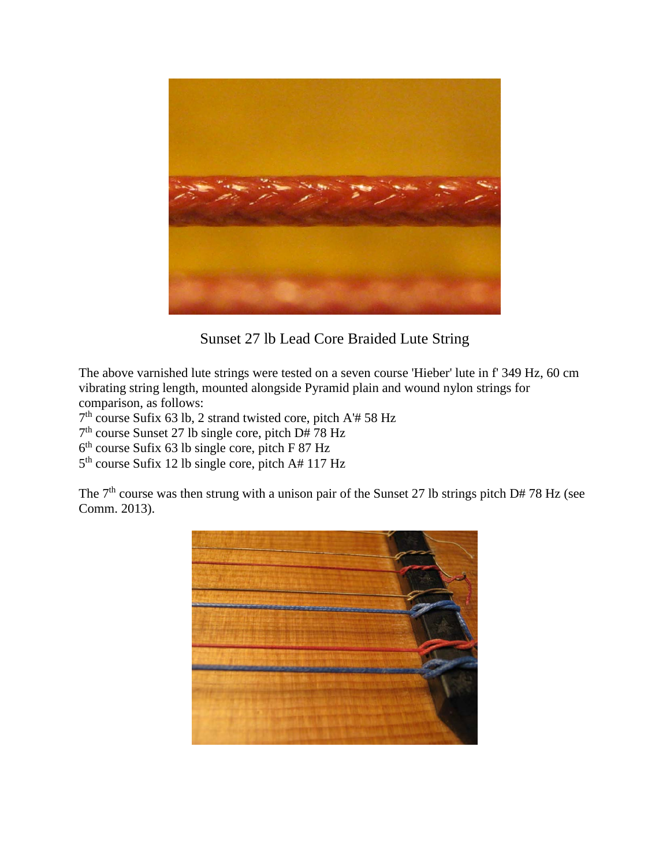

Sunset 27 lb Lead Core Braided Lute String

The above varnished lute strings were tested on a seven course 'Hieber' lute in f' 349 Hz, 60 cm vibrating string length, mounted alongside Pyramid plain and wound nylon strings for comparison, as follows:

 $7<sup>th</sup>$  course Sufix 63 lb, 2 strand twisted core, pitch A'# 58 Hz

 $7<sup>th</sup>$  course Sunset 27 lb single core, pitch D# 78 Hz

 $6<sup>th</sup>$  course Sufix 63 lb single core, pitch F 87 Hz

 $5<sup>th</sup>$  course Sufix 12 lb single core, pitch A# 117 Hz

The  $7<sup>th</sup>$  course was then strung with a unison pair of the Sunset 27 lb strings pitch D# 78 Hz (see Comm. 2013).

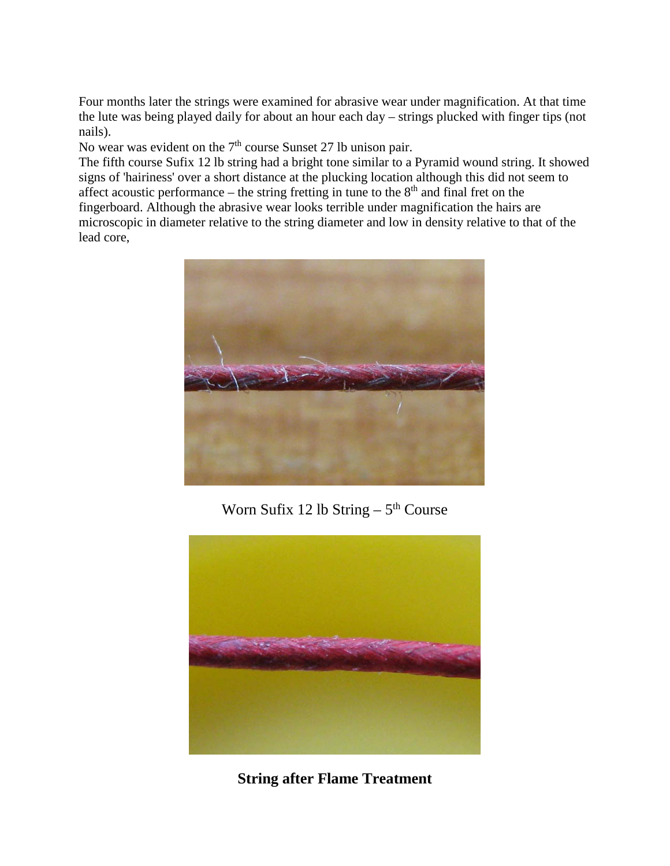Four months later the strings were examined for abrasive wear under magnification. At that time the lute was being played daily for about an hour each day – strings plucked with finger tips (not nails).

No wear was evident on the 7<sup>th</sup> course Sunset 27 lb unison pair.

The fifth course Sufix 12 lb string had a bright tone similar to a Pyramid wound string. It showed signs of 'hairiness' over a short distance at the plucking location although this did not seem to affect acoustic performance – the string fretting in tune to the  $8<sup>th</sup>$  and final fret on the fingerboard. Although the abrasive wear looks terrible under magnification the hairs are microscopic in diameter relative to the string diameter and low in density relative to that of the lead core,



Worn Sufix 12 lb String  $-5<sup>th</sup>$  Course



**String after Flame Treatment**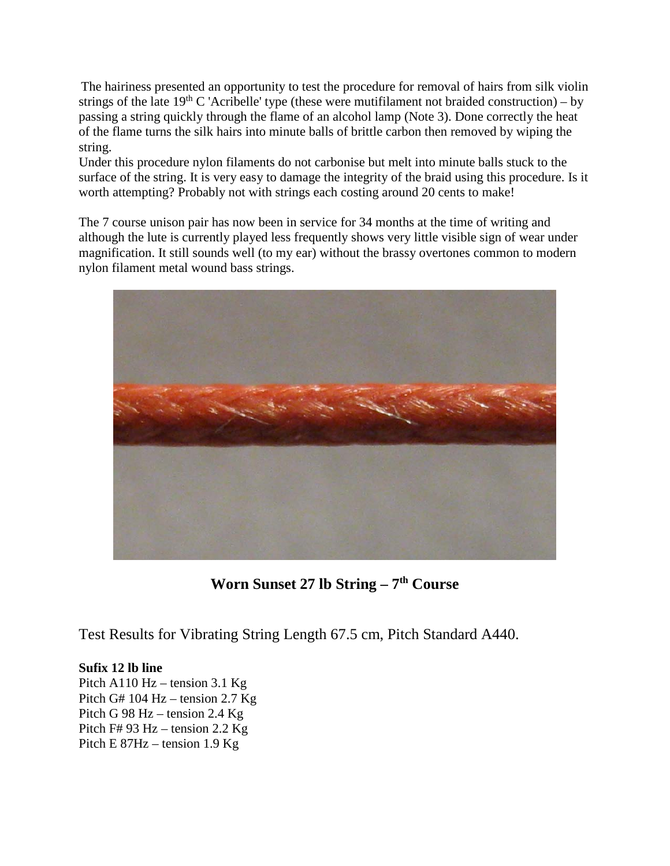The hairiness presented an opportunity to test the procedure for removal of hairs from silk violin strings of the late  $19<sup>th</sup>$  C 'Acribelle' type (these were mutifilament not braided construction) – by passing a string quickly through the flame of an alcohol lamp (Note 3). Done correctly the heat of the flame turns the silk hairs into minute balls of brittle carbon then removed by wiping the string.

Under this procedure nylon filaments do not carbonise but melt into minute balls stuck to the surface of the string. It is very easy to damage the integrity of the braid using this procedure. Is it worth attempting? Probably not with strings each costing around 20 cents to make!

The 7 course unison pair has now been in service for 34 months at the time of writing and although the lute is currently played less frequently shows very little visible sign of wear under magnification. It still sounds well (to my ear) without the brassy overtones common to modern nylon filament metal wound bass strings.



**Worn Sunset 27 lb String – 7th Course**

Test Results for Vibrating String Length 67.5 cm, Pitch Standard A440.

**Sufix 12 lb line**

Pitch A110 Hz – tension 3.1 Kg Pitch G# 104 Hz – tension 2.7 Kg Pitch G 98 Hz – tension 2.4 Kg Pitch F# 93 Hz – tension 2.2 Kg Pitch E 87Hz – tension 1.9 Kg